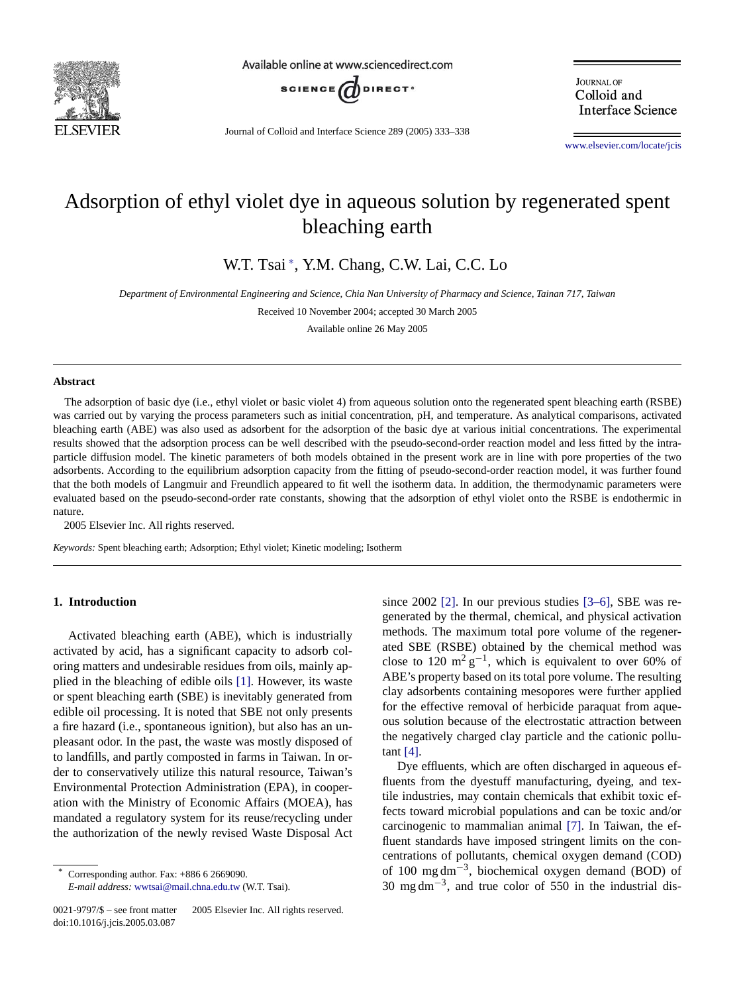

Available online at www.sciencedirect.com



Journal of Colloid and Interface Science 289 (2005) 333–338

**JOURNAL OF** Colloid and **Interface Science** 

www.elsevier.com/locate/jcis

# Adsorption of ethyl violet dye in aqueous solution by regenerated spent bleaching earth

W.T. Tsai <sup>∗</sup> , Y.M. Chang, C.W. Lai, C.C. Lo

*Department of Environmental Engineering and Science, Chia Nan University of Pharmacy and Science, Tainan 717, Taiwan*

Received 10 November 2004; accepted 30 March 2005

Available online 26 May 2005

#### **Abstract**

The adsorption of basic dye (i.e., ethyl violet or basic violet 4) from aqueous solution onto the regenerated spent bleaching earth (RSBE) was carried out by varying the process parameters such as initial concentration, pH, and temperature. As analytical comparisons, activated bleaching earth (ABE) was also used as adsorbent for the adsorption of the basic dye at various initial concentrations. The experimental results showed that the adsorption process can be well described with the pseudo-second-order reaction model and less fitted by the intraparticle diffusion model. The kinetic parameters of both models obtained in the present work are in line with pore properties of the two adsorbents. According to the equilibrium adsorption capacity from the fitting of pseudo-second-order reaction model, it was further found that the both models of Langmuir and Freundlich appeared to fit well the isotherm data. In addition, the thermodynamic parameters were evaluated based on the pseudo-second-order rate constants, showing that the adsorption of ethyl violet onto the RSBE is endothermic in nature.

2005 Elsevier Inc. All rights reserved.

*Keywords:* Spent bleaching earth; Adsorption; Ethyl violet; Kinetic modeling; Isotherm

# **1. Introduction**

Activated bleaching earth (ABE), which is industrially activated by acid, has a significant [cap](#page-5-0)acity to adsorb coloring matters and undesirable residues from oils, mainly applied in the bleaching of edible oils [1]. However, its waste or spent bleaching earth (SBE) is inevitably generated from edible oil processing. It is noted that SBE not only presents a fire hazard (i.e., spontaneous ignition), but also has an unpleasant odor. In the past, the waste was mostly disposed of to landfills, and partly composted in farms in Taiwan. In order to conservatively utilize this natural resource, Taiwan's Environmental Protection Administration (EPA), in cooperation with the Ministry of Economic Affairs (MOEA), has mandated a regulatory system for its reuse/recycling under the authorization of the newly revised Waste Disposal Act

since 2002 [2]. In our previous studies [3–6], SBE was regenerated by the thermal, chemical, and physical activation methods. The maximum total pore volume of the regenerated SBE (RSBE) obtained by the chemical method was close to 120 m<sup>2</sup> g<sup>-1</sup>, which is equivalent to over 60% of ABE's property based on its total pore volume. The resulting clay adsorbents containing mesopores were further applied for the effective removal of herbicide paraquat from aqueous [solu](#page-5-0)tion because of the electrostatic attraction between the negatively charged clay particle and the cationic pollutant  $[4]$ .

Dye effluents, which are often discharged in aqueous effluents from the dyestuff manufacturing, dyeing, and textile industries, may contain chemica[ls](#page-5-0) [th](#page-5-0)at exhibit toxic effects toward microbial populations and can be toxic and/or carcinogenic to mammalian animal [7]. In Taiwan, the effluent standards have imposed stringent limits on the concentrations of pollutants, chemical oxygen demand (COD) of 100 mg dm−3, biochemical oxygen demand (BOD) of 30 mg dm−3, and true color of 550 in the industrial dis-

Corresponding author. Fax: +886 6 2669090. *E-mail address:* wwtsai@mail.chna.edu.tw (W.T. Tsai).

<sup>0021-9797/\$ –</sup> see front matter © 2005 Elsevier Inc. All rights reserved. doi:10.1016/j.jcis.2005.03.087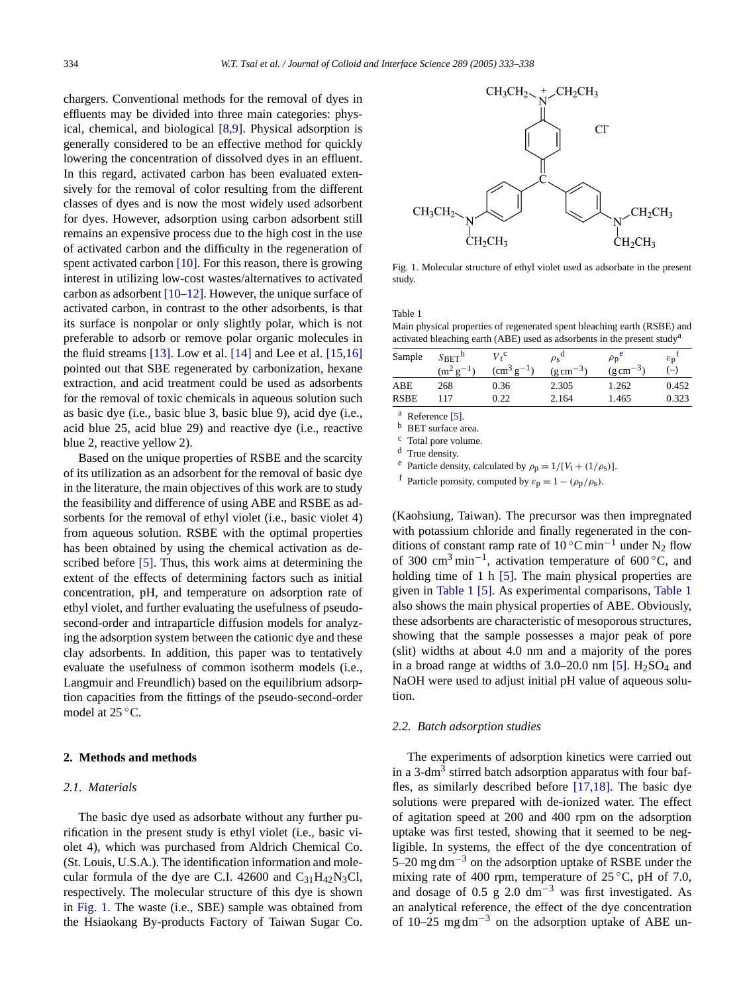<span id="page-1-0"></span>chargers. Conventional metho[ds](#page-5-0) [for](#page-5-0) the removal of dyes in effluents may be divided into three main categories: physical, chemical, and biological [8,9]. Physical adsorption is generally considered to be an effective method for quickly lowering the concentration of dissolved dyes in an effluent. In this regard, activated carbon has been evaluated extensively for the removal of color resulting from the different classes of dyes and is now the most widely used adsorbent for dyes. However, adsorption using carbon adsorbent still remains an expensive [proce](#page-5-0)ss due to the high cost in the use of activated carbon and the difficulty in the regeneration of spent activated carbon [\[10\].](#page-5-0) [F](#page-5-0)or this reason, there is growing interest in utilizing low-cost wastes/alternatives to activated carbon as adsorbent [10–12]. However, the unique surface of activated carbon, in contrast to the other adsorbents, is that its surface is no[npola](#page-5-0)r or only s[lightl](#page-5-0)y polar, whic[h](#page-5-0) [is](#page-5-0) [not](#page-5-0) preferable to adsorb or remove polar organic molecules in the fluid streams [13]. Low et al. [14] and Lee et al. [15,16] pointed out that SBE regenerated by carbonization, hexane extraction, and acid treatment could be used as adsorbents for the removal of toxic chemicals in aqueous solution such as basic dye (i.e., basic blue 3, basic blue 9), acid dye (i.e., acid blue 25, acid blue 29) and reactive dye (i.e., reactive blue 2, reactive yellow 2).

Based on the unique properties of RSBE and the scarcity of its utilization as an adsorbent for the removal of basic dye in the literature, the main objectives of this work are to study the feasibility and difference of using ABE and RSBE as adsorbents for the removal of ethyl violet (i.e., basic violet 4) from aqueous [solu](#page-5-0)tion. RSBE with the optimal properties has been obtained by using the chemical activation as described before [5]. Thus, this work aims at determining the extent of the effects of determining factors such as initial concentration, pH, and temperature on adsorption rate of ethyl violet, and further evaluating the usefulness of pseudosecond-order and intraparticle diffusion models for analyzing the adsorption system between the cationic dye and these clay adsorbents. In addition, this paper was to tentatively evaluate the usefulness of common isotherm models (i.e., Langmuir and Freundlich) based on the equilibrium adsorption capacities from the fittings of the pseudo-second-order model at 25 ◦C.

#### **2. Methods and methods**

# *2.1. Materials*

The basic dye used as adsorbate without any further purification in the present study is ethyl violet (i.e., basic violet 4), which was purchased from Aldrich Chemical Co. (St. Louis, U.S.A.). The identification information and molecular formula of the dye are C.I. 42600 and  $C_{31}H_{42}N_3Cl$ , respectively. The molecular structure of this dye is shown in Fig. 1. The waste (i.e., SBE) sample was obtained from the Hsiaokang By-products Factory of Taiwan Sugar Co.



Fig. 1. Molecular structure of ethyl violet used as adsorbate in the present study.

#### Table 1

Main physical properties of regenerated spent bleaching earth (RSBE) and activated bleaching earth (ABE) used as adsorbents in the present studya

| Sample      | $S_{\text{BET}}^{\text{b}}$ | $V_{\star}^{\text{c}}$ | $\rho_s$ <sup>o</sup> | $\rho_{\rm D}$        | $\varepsilon_{\rm D}$ |
|-------------|-----------------------------|------------------------|-----------------------|-----------------------|-----------------------|
|             | $(m^2 g^-$                  | $\rm (cm^3 \, g^{-1})$ | $(g \text{ cm}^{-3})$ | $(g \text{ cm}^{-3})$ | $\left( -\right)$     |
| ABE         | 268                         | 0.36                   | 2.305                 | 1.262                 | 0.452                 |
| <b>RSBE</b> | 117                         | 0.22                   | 2.164                 | 1.465                 | 0.323                 |

<sup>a</sup> Reference  $[5]$ .<br>b BET surface as

BET surface area.

<sup>c</sup> Total pore volume.

<sup>d</sup> True density.

<sup>e</sup> Particle density, calculated by  $\rho_p = 1/[V_t + (1/\rho_s)].$ 

<sup>f</sup> Particle porosity, computed by  $\varepsilon_p = 1 - (\rho_p/\rho_s)$ .

(Kaohsiung, Taiwan). The precursor was then impregnated with potassium chloride and finally regenerated in the conditions of constant r[amp](#page-5-0) rate of 10 °C min<sup>-1</sup> under N<sub>2</sub> flow of 300 cm<sup>3</sup> min−1, activation temperature of 600 ◦C, and holding time of 1 h [5]. The main physical properties are given in Table 1 [5]. As experimental comparisons, Table 1 also shows the main physical properties of ABE. Obviously, these adsorbents are characteristic of mesoporous structures, showing that the sample possesses a maj[or](#page-5-0) [p](#page-5-0)eak of pore (slit) widths at about 4.0 nm and a majority of the pores in a broad range at widths of  $3.0-20.0$  nm [5]. H<sub>2</sub>SO<sub>4</sub> and NaOH were used to adjust initial pH value of aqueous solution.

# *2.2. Batch adsorption studies*

The experiments of adsorption [kinetics](#page-5-0) [w](#page-5-0)ere carried out in a 3-dm<sup>3</sup> stirred batch adsorption apparatus with four baffles, as similarly described before [17,18]. The basic dye solutions were prepared with de-ionized water. The effect of agitation speed at 200 and 400 rpm on the adsorption uptake was first tested, showing that it seemed to be negligible. In systems, the effect of the dye concentration of 5–20 mg dm<sup>-3</sup> on the adsorption uptake of RSBE under the mixing rate of 400 rpm, temperature of  $25^{\circ}$ C, pH of 7.0, and dosage of 0.5 g  $2.0 \text{ dm}^{-3}$  was first investigated. As an analytical reference, the effect of the dye concentration of 10–25 mg dm<sup>-3</sup> on the adsorption uptake of ABE un-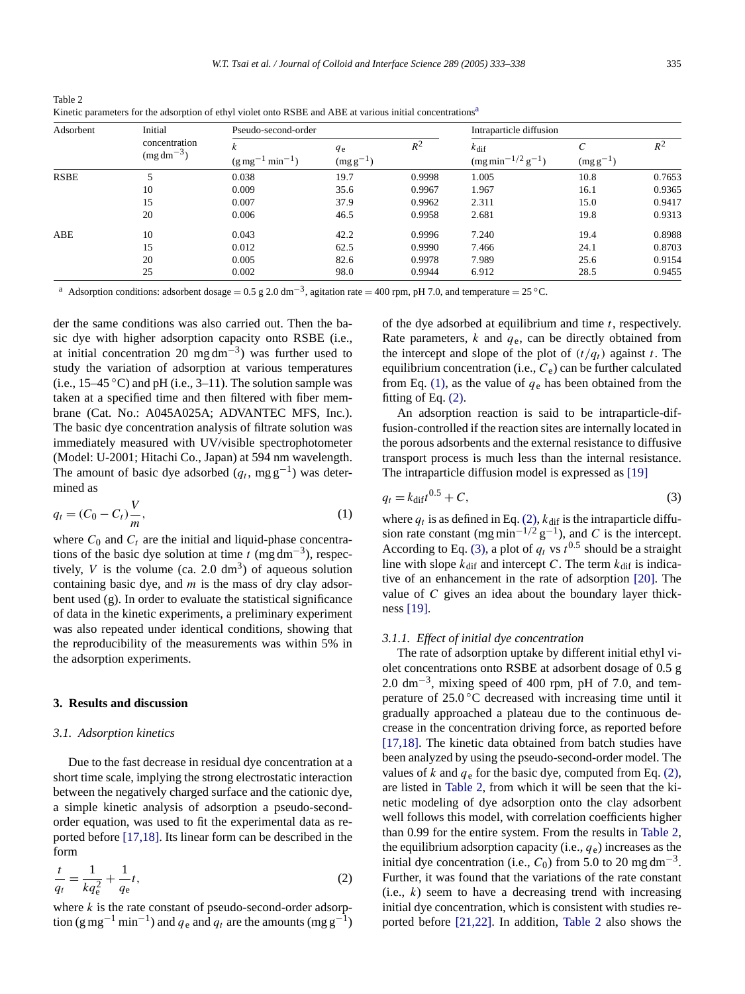| Adsorbent | Initial<br>concentration<br>$(mg dm^{-3})$ | Pseudo-second-order                      |                          |        | Intraparticle diffusion                                                |               |        |
|-----------|--------------------------------------------|------------------------------------------|--------------------------|--------|------------------------------------------------------------------------|---------------|--------|
|           |                                            | $min^{-1}$ )<br>$(g \,\mathrm{mg}^{-1})$ | $q_{e}$<br>$(mg g^{-1})$ | $R^2$  | $k_{\text{dif}}$<br>$\left(\text{mg min}^{-1/2} \text{ g}^{-1}\right)$ | $(mg g^{-1})$ | $R^2$  |
| RSBE      | 5                                          | 0.038                                    | 19.7                     | 0.9998 | 1.005                                                                  | 10.8          | 0.7653 |
|           | 10                                         | 0.009                                    | 35.6                     | 0.9967 | 1.967                                                                  | 16.1          | 0.9365 |
|           | 15                                         | 0.007                                    | 37.9                     | 0.9962 | 2.311                                                                  | 15.0          | 0.9417 |
|           | 20                                         | 0.006                                    | 46.5                     | 0.9958 | 2.681                                                                  | 19.8          | 0.9313 |
| ABE       | 10                                         | 0.043                                    | 42.2                     | 0.9996 | 7.240                                                                  | 19.4          | 0.8988 |
|           | 15                                         | 0.012                                    | 62.5                     | 0.9990 | 7.466                                                                  | 24.1          | 0.8703 |
|           | 20                                         | 0.005                                    | 82.6                     | 0.9978 | 7.989                                                                  | 25.6          | 0.9154 |
|           | 25                                         | 0.002                                    | 98.0                     | 0.9944 | 6.912                                                                  | 28.5          | 0.9455 |

<span id="page-2-0"></span>Table 2 Kinetic parameters for the adsorption of ethyl violet onto RSBE and ABE at various initial concentrations<sup>a</sup>

Adsorption conditions: adsorbent dosage = 0.5 g 2.0 dm<sup>-3</sup>, agitation rate = 400 rpm, pH 7.0, and temperature = 25 °C.

der the same conditions was also carried out. Then the basic dye with higher adsorption capacity onto RSBE (i.e., at initial concentration 20 mg dm<sup>-3</sup>) was further used to study the variation of adsorption at various temperatures (i.e.,  $15-45$  °C) and pH (i.e.,  $3-11$ ). The solution sample was taken at a specified time and then filtered with fiber membrane (Cat. No.: A045A025A; ADVANTEC MFS, Inc.). The basic dye concentration analysis of filtrate solution was immediately measured with UV/visible spectrophotometer (Model: U-2001; Hitachi Co., Japan) at 594 nm wavelength. The amount of basic dye adsorbed  $(q_t, mg g^{-1})$  was determined as

$$
q_t = (C_0 - C_t)\frac{V}{m},\tag{1}
$$

where  $C_0$  and  $C_t$  are the initial and liquid-phase concentrations of the basic dye solution at time  $t \text{ (mg dm}^{-3})$ , respectively,  $V$  is the volume (ca. 2.0 dm<sup>3</sup>) of aqueous solution containing basic dye, and *m* is the mass of dry clay adsorbent used (g). In order to evaluate the statistical significance of data in the kinetic experiments, a preliminary experiment was also repeated under identical conditions, showing that the reproducibility of the measurements was within 5% in the adsorption experiments.

# **3. Results and discussion**

## *3.1. Adsorption kinetics*

Due to the fast decrease in residual dye concentration at a short time scale, implying the strong electrostatic interaction between the negatively charged surface and the cationic dye, a simple kin[etic](#page-5-0) [ana](#page-5-0)lysis of adsorption a pseudo-secondorder equation, was used to fit the experimental data as reported before [17,18]. Its linear form can be described in the form

$$
\frac{t}{q_t} = \frac{1}{kq_e^2} + \frac{1}{q_e}t,\tag{2}
$$

where *k* is the rate constant of pseudo-second-order adsorption (g mg<sup>-1</sup> min<sup>-1</sup>) and  $q_e$  and  $q_t$  are the amounts (mg g<sup>-1</sup>) of the dye adsorbed at equilibrium and time *t*, respectively. Rate parameters, *k* and *q*e, can be directly obtained from the intercept and slope of the plot of  $(t/q_t)$  against *t*. The equilibrium concentration (i.e.,  $C_e$ ) can be further calculated from Eq. (1), as the value of  $q_e$  has been obtained from the fitting of Eq. (2).

An adsorption reaction is said to be intraparticle-diffusion-controlled if the reaction sites are internally located in the porous adsorbents and the external resistance [to](#page-5-0) [dif](#page-5-0)fusive transport process is much less than the internal resistance. The intraparticle diffusion model is expressed as [19]

$$
q_t = k_{\text{diff}}t^{0.5} + C,\tag{3}
$$

where  $q_t$  is as defined in Eq. (2),  $k_{\text{diff}}$  is the intraparticle diffusion rate constant (mg min<sup>-1/2</sup> g<sup>-1</sup>), and *C* is the intercept. According to Eq. (3), [a](#page-5-0) plot of  $q_t$  vs  $t^{0.5}$  should be a [str](#page-5-0)aight line with slope  $k_{\text{dif}}$  and intercept *C*. The term  $k_{\text{dif}}$  is indicative [of](#page-5-0) [an](#page-5-0) enhancement in the rate of adsorption [20]. The value of *C* gives an idea about the boundary layer thickness [19].

#### *3.1.1. Effect of initial dye concentration*

The rate of adsorption uptake by different initial ethyl violet concentrations onto RSBE at adsorbent dosage of 0.5 g 2.0 dm<sup>-3</sup>, mixing speed of 400 rpm, pH of 7.0, and temperature of 25.0 ◦C decreased with increasing time until it [graduall](#page-5-0)y approached a plateau due to the continuous decrease in the concentration driving force, as reported before [17,18]. The kinetic data obtained from batch studies have been analyzed by using the pseudo-second-order model. The values of  $k$  and  $q_e$  for the basic dye, computed from Eq. (2), are listed in Table 2, from which it will be seen that the kinetic modeling of dye adsorption onto the clay adsorbent well follows this model, with correlation coefficients higher than 0.99 for the entire system. From the results in Table 2, the equilibrium adsorption capacity (i.e.,  $q_e$ ) increases as the initial dye concentration (i.e.,  $C_0$ ) from 5.0 to 20 mg dm<sup>-3</sup>. Further, it was found that the variations of the rate constant  $(i.e., k)$  seem [to](#page-5-0) [have](#page-5-0) a decreasing trend with increasing initial dye concentration, which is consistent with studies reported before [21,22]. In addition, Table 2 also shows the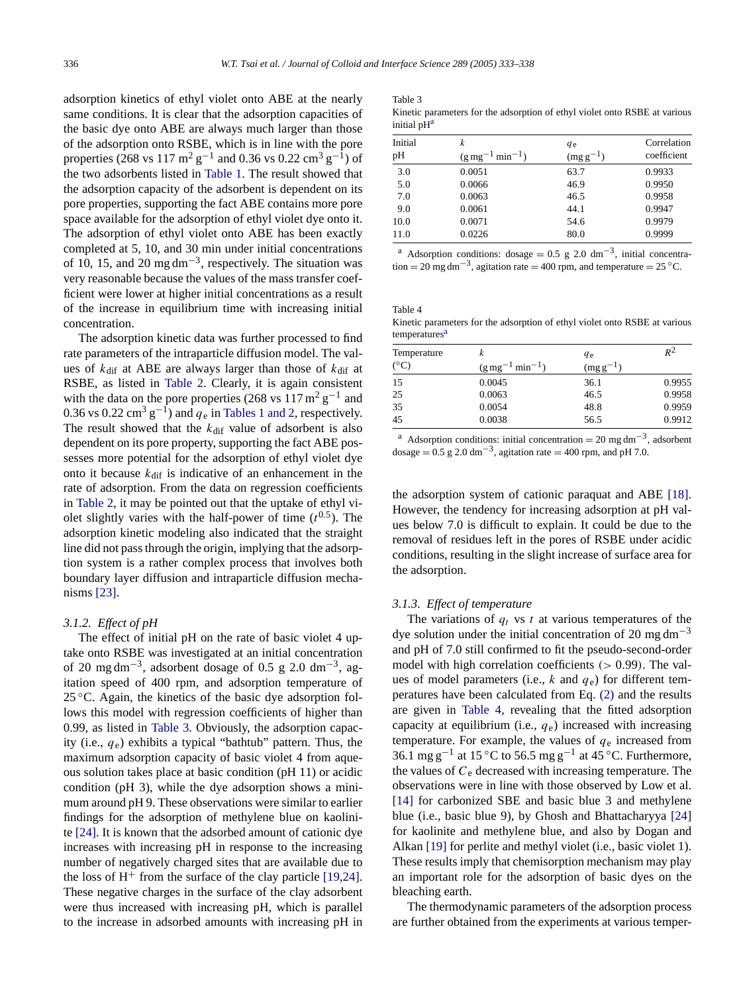Table 3

adsorption kinetics of ethyl violet onto ABE at the nearly same conditions. It is clear that the adsorption capacities of the basic dye onto ABE are always much larger than those of the adsorption onto RSB[E,](#page-1-0) [which](#page-1-0) is in line with the pore properties (268 vs 117 m<sup>2</sup> g<sup>-1</sup> and 0.36 vs 0.22 cm<sup>3</sup> g<sup>-1</sup>) of the two adsorbents listed in Table 1. The result showed that the adsorption capacity of the adsorbent is dependent on its pore properties, supporting the fact ABE contains more pore space available for the adsorption of ethyl violet dye onto it. The adsorption of ethyl violet onto ABE has been exactly completed at 5, 10, and 30 min under initial concentrations of 10, 15, and 20 mg dm<sup>-3</sup>, respectively. The situation was very reasonable because the values of the mass transfer coefficient were lower at higher initial concentrations as a result of the increase in equilibrium time with increasing initial concentration.

The adsorption kinetic data was further processed to find rate parameters of t[he](#page-2-0) [intrapa](#page-2-0)rticle diffusion model. The values of  $k_{\text{dif}}$  at ABE are always larger than those of  $k_{\text{dif}}$  at RSBE, as listed in Table 2. C[learly,](#page-1-0) [it](#page-1-0) [is](#page-1-0) [aga](#page-1-0)in consistent with the data on the pore properties (268 vs 117 m<sup>2</sup> g<sup>-1</sup> and 0.36 vs 0.22 cm<sup>3</sup> g<sup>-1</sup>) and  $q_e$  in Tables 1 and 2, respectively. The result showed that the  $k_{\text{dif}}$  value of adsorbent is also dependent on its pore property, supporting the fact ABE possesses more potential for the adsorption of ethyl violet dye o[nto](#page-2-0) [it](#page-2-0) [bec](#page-2-0)ause  $k_{\text{dif}}$  is indicative of an enhancement in the rate of adsorption. From the data on regression coefficients in Table 2, it may be pointed out that the uptake of ethyl violet slightly varies with the half-power of time  $(t^{0.5})$ . The adsorption kinetic modeling also indicated that the straight line did not pass through the origin, implying that the adsorption s[ystem](#page-5-0) is a rather complex process that involves both boundary layer diffusion and intraparticle diffusion mechanisms [23].

#### *3.1.2. Effect of pH*

The effect of initial pH on the rate of basic violet 4 uptake onto RSBE was investigated at an initial concentration of 20 mg dm<sup>-3</sup>, adsorbent dosage of 0.5 g 2.0 dm<sup>-3</sup>, agitation speed of 400 rpm, and adsorption temperature of  $25^{\circ}$ C. Again, the kinetics of the basic dye adsorption follows this model with regression coefficients of higher than 0.99, as listed in Table 3. Obviously, the adsorption capacity (i.e., *q*e) exhibits a typical "bathtub" pattern. Thus, the maximum adsorption capacity of basic violet 4 from aqueous solution takes place at basic condition (pH 11) or acidic condition (pH 3), while the dye adsorption shows a minim[um](#page-5-0) [ar](#page-5-0)ound pH 9. These observations were similar to earlier findings for the adsorption of methylene blue on kaolinite [24]. It is known that the adsorbed amount of cationic dye increases with increasing pH in response to the in[creasing](#page-5-0) number of negatively charged sites that are available due to the loss of  $H^+$  from the surface of the clay particle [19,24]. These negative charges in the surface of the clay adsorbent were thus increased with increasing pH, which is parallel to the increase in adsorbed amounts with increasing pH in

| Kinetic parameters for the adsorption of ethyl violet onto RSBE at various |  |
|----------------------------------------------------------------------------|--|
| initial pH <sup>a</sup>                                                    |  |

| Initial | k                                      | <i>q</i> e    | Correlation |
|---------|----------------------------------------|---------------|-------------|
| pН      | $(g \text{ mg}^{-1} \text{ min}^{-1})$ | $(mg g^{-1})$ | coefficient |
| 3.0     | 0.0051                                 | 63.7          | 0.9933      |
| 5.0     | 0.0066                                 | 46.9          | 0.9950      |
| 7.0     | 0.0063                                 | 46.5          | 0.9958      |
| 9.0     | 0.0061                                 | 44.1          | 0.9947      |
| 10.0    | 0.0071                                 | 54.6          | 0.9979      |
| 11.0    | 0.0226                                 | 80.0          | 0.9999      |

<sup>a</sup> Adsorption conditions: dosage =  $0.5$  g 2.0 dm<sup>-3</sup>, initial concentration = 20 mg dm<sup>-3</sup>, agitation rate = 400 rpm, and temperature = 25 °C.

Table 4 Kinetic parameters for the adsorption of ethyl violet onto RSBE at various temperatures<sup>a</sup>

| k                                     | <sub>qe</sub> | $R^2$  |
|---------------------------------------|---------------|--------|
| $min^{-1}$ )<br>$(g\,\text{mg}^{-1})$ | (mg g)        |        |
| 0.0045                                | 36.1          | 0.9955 |
| 0.0063                                | 46.5          | 0.9958 |
| 0.0054                                | 48.8          | 0.9959 |
| 0.0038                                | 56.5          | 0.9912 |
|                                       |               |        |

<sup>a</sup> Adsorption conditions: initial concentration = 20 mg dm<sup>-3</sup>, adsorbent dosage =  $0.5$  g 2.0 dm<sup>-3</sup>, agitation rate = 400 rpm, and pH 7.0.

the adsorption system of cationic paraquat and ABE [18]. However, the tendency for increasing adsorption at pH values below 7.0 is difficult to explain. It could be due to the removal of residues left in the pores of RSBE under acidic conditions, resulting in the slight increase of surface area for the adsorption.

## *3.1.3. Effect of temperature*

The variations of  $q_t$  vs  $t$  at various temperatures of the dye solution under the initial concentration of 20 mg dm<sup>-3</sup> and pH of 7.0 still confirmed to fit the pseudo-second-order model with high correlation coefficients *[\(>](#page-2-0)* 0*.*99*)*. The values of model parameters (i.e., *k* and *q*e) for different temperatures have been calculated from Eq. (2) and the results are given in Table 4, revealing that the fitted adsorption capacity at equilibrium (i.e., *q*e) increased with increasing temperature. For example, the values of  $q_e$  increased from 36.1 mg g<sup>-1</sup> at 15 °C to 56.5 mg g<sup>-1</sup> at 45 °C. Furthermore, [the](#page-5-0) [v](#page-5-0)alues of  $C_e$  decreased with increasing temperature. The observations were in line with those observed by Low [et](#page-5-0) [al.](#page-5-0) [14] for carbonized SBE and basic blue 3 and methylene blue ([i.e.,](#page-5-0) [b](#page-5-0)asic blue 9), by Ghosh and Bhattacharyya [24] for kaolinite and methylene blue, and also by Dogan and Alkan [19] for perlite and methyl violet (i.e., basic violet 1). These results imply that chemisorption mechanism may play an important role for the adsorption of basic dyes on the bleaching earth.

The thermodynamic parameters of the adsorption process are further obtained from the experiments at various temper-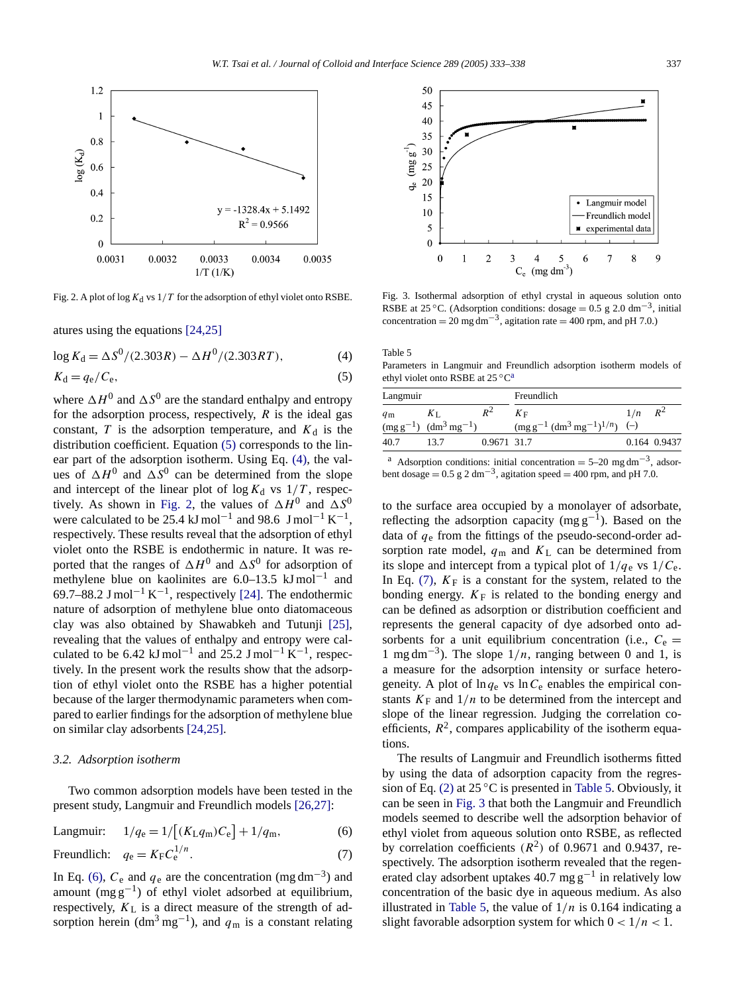

Fig. 2. A plot of log  $K_d$  vs  $1/T$  f[or the adso](#page-5-0)rption of ethyl violet onto RSBE.

atures using the equations [24,25]

$$
\log K_{\rm d} = \Delta S^0 / (2.303R) - \Delta H^0 / (2.303RT),\tag{4}
$$

$$
K_{\rm d} = q_{\rm e}/C_{\rm e},\tag{5}
$$

where  $\Delta H^0$  and  $\Delta S^0$  are the standard enthalpy and entropy for the adsorption process, respectively, *R* is the ideal gas constant,  $T$  is the adsorption temperature, and  $K_d$  is the distribution coefficient. Equation (5) corresponds to the linear part of the adsorption isotherm. Using Eq. (4), the values of  $\Delta H^0$  and  $\Delta S^0$  can be determined from the slope and intercept of the linear plot of  $\log K_d$  vs  $1/T$ , respectively. As shown in Fig. 2, the values of  $\Delta H^0$  and  $\Delta S^0$ were calculated to be 25.4 kJ mol<sup>-1</sup> and 98.6 J mol<sup>-1</sup> K<sup>-1</sup>, respectively. These results reveal that the adsorption of ethyl violet onto the RSBE is endothermic in nature. It was reported that the ranges of  $\Delta H^0$  and  $\Delta S^0$  $\Delta S^0$  $\Delta S^0$  for adsorption of methylene blue on kaolinites are  $6.0-13.5$  kJ mol<sup>-1</sup> and 69.7–88.2 J mol<sup>-1</sup> K<sup>-1</sup>, respectively [24]. The endoth[ermic](#page-5-0) nature of adsorption of methylene blue onto diatomaceous clay was also obtained by Shawabkeh and Tutunji [25], revealing that the values of enthalpy and entropy were calculated to be 6.42 kJ mol<sup>-1</sup> and 25.2 J mol<sup>-1</sup> K<sup>-1</sup>, respectively. In the present work the results show that the adsorption of ethyl violet onto the RSBE has a higher potential because of the larger ther[modynam](#page-5-0)ic parameters when compared to earlier findings for the adsorption of methylene blue on similar clay adsorbents [24,25].

## *3.2. Adsorption isotherm*

Two common adsorption models have been tested in the present study, Langmuir and Freundlich models [26,27]:

Langmuir: 
$$
1/q_e = 1/[(K_L q_m)C_e] + 1/q_m,
$$
 (6)

$$
\text{Freundlich:} \quad q_{\text{e}} = K_{\text{F}} C_{\text{e}}^{1/n}.\tag{7}
$$

In Eq. (6),  $C_e$  and  $q_e$  are the concentration (mg dm<sup>-3</sup>) and amount (mg  $g^{-1}$ ) of ethyl violet adsorbed at equilibrium, respectively,  $K<sub>L</sub>$  is a direct measure of the strength of adsorption herein (dm<sup>3</sup> mg<sup>-1</sup>), and  $q<sub>m</sub>$  is a constant relating



Fig. 3. Isothermal adsorption of ethyl crystal in aqueous solution onto RSBE at 25 °C. (Adsorption conditions: dosage =  $0.5$  g 2.0 dm<sup>-3</sup>, initial concentration =  $20 \text{ mg dm}^{-3}$ , agitation rate =  $400 \text{ rpm}$ , and pH 7.0.)

Table 5 Parameters in Langmuir and Freundlich adsorption isotherm models of ethyl violet onto RSBE at 25 ◦Ca

| Langmuir    |                                |             | Freundlich                                                              |     |              |  |
|-------------|--------------------------------|-------------|-------------------------------------------------------------------------|-----|--------------|--|
| $q_{\rm m}$ | $K_{\text{L}}$                 | $R^2$       | $K_{\rm F}$                                                             | 1/n | $R^2$        |  |
|             | $(mg g^{-1})$ $(dm^3 mg^{-1})$ |             | $\left(\text{mg g}^{-1} (\text{dm}^3 \text{ mg}^{-1})^{1/n}\right)$ (-) |     |              |  |
| 40.7        | 13.7                           | 0.9671 31.7 |                                                                         |     | 0.164 0.9437 |  |
|             |                                |             |                                                                         |     |              |  |

<sup>a</sup> Adsorption conditions: initial concentration =  $5-20$  mg dm<sup>-3</sup>, adsorbent dosage =  $0.5$  g 2 dm<sup>-3</sup>, agitation speed = 400 rpm, and pH 7.0.

to the surface area occupied by a monolayer of adsorbate, reflecting the adsorption capacity (mg  $g^{-1}$ ). Based on the data of *q*<sup>e</sup> from the fittings of the pseudo-second-order adsorption rate model,  $q_m$  and  $K_L$  can be determined from its slope and intercept from a typical plot of  $1/q_e$  vs  $1/C_e$ . In Eq.  $(7)$ ,  $K_F$  is a constant for the system, related to the bonding energy.  $K_F$  is related to the bonding energy and can be defined as adsorption or distribution coefficient and represents the general capacity of dye adsorbed onto adsorbents for a unit equilibrium concentration (i.e.,  $C_e$ ) 1 mg dm<sup>-3</sup>). The slope  $1/n$ , ranging between 0 and 1, is a measure for the adsorption intensity or surface heterogeneity. A plot of  $\ln q_e$  vs  $\ln C_e$  enables the empirical constants  $K_F$  and  $1/n$  to be determined from the intercept and slope of the linear regression. Judging the correlation coefficients,  $R^2$ , compares applicability of the isotherm equations.

The res[ults](#page-2-0) of Langmuir and Freundlich isotherms fitted by using the data of adsorption capacity from the regression of Eq. (2) at  $25^{\circ}$ C is presented in Table 5. Obviously, it can be seen in Fig. 3 that both the Langmuir and Freundlich models seemed to describe well the adsorption behavior of ethyl violet from aqueous solution onto RSBE, as reflected by correlation coefficients  $(R^2)$  of 0.9671 and 0.9437, respectively. The adsorption isotherm revealed that the regenerated clay adsorbent uptakes 40.7 mg  $g^{-1}$  in relatively low concentration of the basic dye in aqueous medium. As also illustrated in Table 5, the value of  $1/n$  is 0.164 indicating a slight favorable adsorption system for which  $0 < 1/n < 1$ .